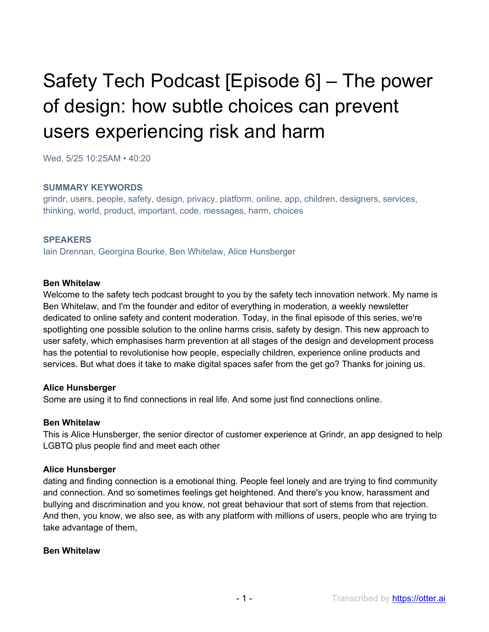# Safety Tech Podcast [Episode 6] – The power of design: how subtle choices can prevent users experiencing risk and harm

Wed, 5/25 10:25AM • 40:20

#### **SUMMARY KEYWORDS**

grindr, users, people, safety, design, privacy, platform, online, app, children, designers, services, thinking, world, product, important, code, messages, harm, choices

#### **SPEAKERS**

Iain Drennan, Georgina Bourke, Ben Whitelaw, Alice Hunsberger

#### **Ben Whitelaw**

Welcome to the safety tech podcast brought to you by the safety tech innovation network. My name is Ben Whitelaw, and I'm the founder and editor of everything in moderation, a weekly newsletter dedicated to online safety and content moderation. Today, in the final episode of this series, we're spotlighting one possible solution to the online harms crisis, safety by design. This new approach to user safety, which emphasises harm prevention at all stages of the design and development process has the potential to revolutionise how people, especially children, experience online products and services. But what does it take to make digital spaces safer from the get go? Thanks for joining us.

#### **Alice Hunsberger**

Some are using it to find connections in real life. And some just find connections online.

#### **Ben Whitelaw**

This is Alice Hunsberger, the senior director of customer experience at Grindr, an app designed to help LGBTQ plus people find and meet each other

#### **Alice Hunsberger**

dating and finding connection is a emotional thing. People feel lonely and are trying to find community and connection. And so sometimes feelings get heightened. And there's you know, harassment and bullying and discrimination and you know, not great behaviour that sort of stems from that rejection. And then, you know, we also see, as with any platform with millions of users, people who are trying to take advantage of them,

#### **Ben Whitelaw**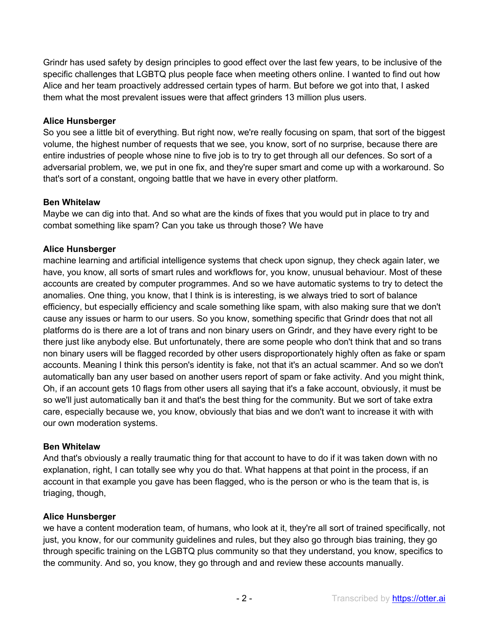Grindr has used safety by design principles to good effect over the last few years, to be inclusive of the specific challenges that LGBTQ plus people face when meeting others online. I wanted to find out how Alice and her team proactively addressed certain types of harm. But before we got into that, I asked them what the most prevalent issues were that affect grinders 13 million plus users.

# **Alice Hunsberger**

So you see a little bit of everything. But right now, we're really focusing on spam, that sort of the biggest volume, the highest number of requests that we see, you know, sort of no surprise, because there are entire industries of people whose nine to five job is to try to get through all our defences. So sort of a adversarial problem, we, we put in one fix, and they're super smart and come up with a workaround. So that's sort of a constant, ongoing battle that we have in every other platform.

# **Ben Whitelaw**

Maybe we can dig into that. And so what are the kinds of fixes that you would put in place to try and combat something like spam? Can you take us through those? We have

# **Alice Hunsberger**

machine learning and artificial intelligence systems that check upon signup, they check again later, we have, you know, all sorts of smart rules and workflows for, you know, unusual behaviour. Most of these accounts are created by computer programmes. And so we have automatic systems to try to detect the anomalies. One thing, you know, that I think is is interesting, is we always tried to sort of balance efficiency, but especially efficiency and scale something like spam, with also making sure that we don't cause any issues or harm to our users. So you know, something specific that Grindr does that not all platforms do is there are a lot of trans and non binary users on Grindr, and they have every right to be there just like anybody else. But unfortunately, there are some people who don't think that and so trans non binary users will be flagged recorded by other users disproportionately highly often as fake or spam accounts. Meaning I think this person's identity is fake, not that it's an actual scammer. And so we don't automatically ban any user based on another users report of spam or fake activity. And you might think, Oh, if an account gets 10 flags from other users all saying that it's a fake account, obviously, it must be so we'll just automatically ban it and that's the best thing for the community. But we sort of take extra care, especially because we, you know, obviously that bias and we don't want to increase it with with our own moderation systems.

# **Ben Whitelaw**

And that's obviously a really traumatic thing for that account to have to do if it was taken down with no explanation, right, I can totally see why you do that. What happens at that point in the process, if an account in that example you gave has been flagged, who is the person or who is the team that is, is triaging, though,

## **Alice Hunsberger**

we have a content moderation team, of humans, who look at it, they're all sort of trained specifically, not just, you know, for our community guidelines and rules, but they also go through bias training, they go through specific training on the LGBTQ plus community so that they understand, you know, specifics to the community. And so, you know, they go through and and review these accounts manually.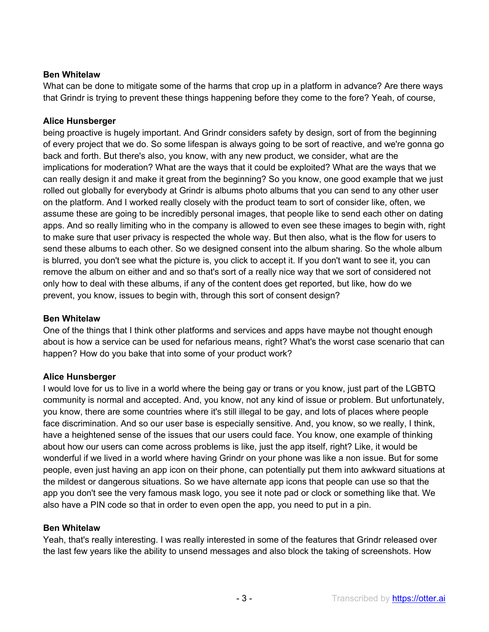# **Ben Whitelaw**

What can be done to mitigate some of the harms that crop up in a platform in advance? Are there ways that Grindr is trying to prevent these things happening before they come to the fore? Yeah, of course,

# **Alice Hunsberger**

being proactive is hugely important. And Grindr considers safety by design, sort of from the beginning of every project that we do. So some lifespan is always going to be sort of reactive, and we're gonna go back and forth. But there's also, you know, with any new product, we consider, what are the implications for moderation? What are the ways that it could be exploited? What are the ways that we can really design it and make it great from the beginning? So you know, one good example that we just rolled out globally for everybody at Grindr is albums photo albums that you can send to any other user on the platform. And I worked really closely with the product team to sort of consider like, often, we assume these are going to be incredibly personal images, that people like to send each other on dating apps. And so really limiting who in the company is allowed to even see these images to begin with, right to make sure that user privacy is respected the whole way. But then also, what is the flow for users to send these albums to each other. So we designed consent into the album sharing. So the whole album is blurred, you don't see what the picture is, you click to accept it. If you don't want to see it, you can remove the album on either and and so that's sort of a really nice way that we sort of considered not only how to deal with these albums, if any of the content does get reported, but like, how do we prevent, you know, issues to begin with, through this sort of consent design?

## **Ben Whitelaw**

One of the things that I think other platforms and services and apps have maybe not thought enough about is how a service can be used for nefarious means, right? What's the worst case scenario that can happen? How do you bake that into some of your product work?

# **Alice Hunsberger**

I would love for us to live in a world where the being gay or trans or you know, just part of the LGBTQ community is normal and accepted. And, you know, not any kind of issue or problem. But unfortunately, you know, there are some countries where it's still illegal to be gay, and lots of places where people face discrimination. And so our user base is especially sensitive. And, you know, so we really, I think, have a heightened sense of the issues that our users could face. You know, one example of thinking about how our users can come across problems is like, just the app itself, right? Like, it would be wonderful if we lived in a world where having Grindr on your phone was like a non issue. But for some people, even just having an app icon on their phone, can potentially put them into awkward situations at the mildest or dangerous situations. So we have alternate app icons that people can use so that the app you don't see the very famous mask logo, you see it note pad or clock or something like that. We also have a PIN code so that in order to even open the app, you need to put in a pin.

## **Ben Whitelaw**

Yeah, that's really interesting. I was really interested in some of the features that Grindr released over the last few years like the ability to unsend messages and also block the taking of screenshots. How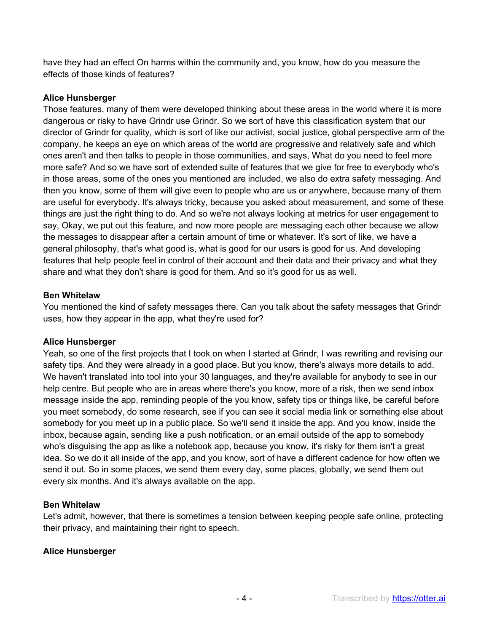have they had an effect On harms within the community and, you know, how do you measure the effects of those kinds of features?

## **Alice Hunsberger**

Those features, many of them were developed thinking about these areas in the world where it is more dangerous or risky to have Grindr use Grindr. So we sort of have this classification system that our director of Grindr for quality, which is sort of like our activist, social justice, global perspective arm of the company, he keeps an eye on which areas of the world are progressive and relatively safe and which ones aren't and then talks to people in those communities, and says, What do you need to feel more more safe? And so we have sort of extended suite of features that we give for free to everybody who's in those areas, some of the ones you mentioned are included, we also do extra safety messaging. And then you know, some of them will give even to people who are us or anywhere, because many of them are useful for everybody. It's always tricky, because you asked about measurement, and some of these things are just the right thing to do. And so we're not always looking at metrics for user engagement to say, Okay, we put out this feature, and now more people are messaging each other because we allow the messages to disappear after a certain amount of time or whatever. It's sort of like, we have a general philosophy, that's what good is, what is good for our users is good for us. And developing features that help people feel in control of their account and their data and their privacy and what they share and what they don't share is good for them. And so it's good for us as well.

# **Ben Whitelaw**

You mentioned the kind of safety messages there. Can you talk about the safety messages that Grindr uses, how they appear in the app, what they're used for?

## **Alice Hunsberger**

Yeah, so one of the first projects that I took on when I started at Grindr, I was rewriting and revising our safety tips. And they were already in a good place. But you know, there's always more details to add. We haven't translated into tool into your 30 languages, and they're available for anybody to see in our help centre. But people who are in areas where there's you know, more of a risk, then we send inbox message inside the app, reminding people of the you know, safety tips or things like, be careful before you meet somebody, do some research, see if you can see it social media link or something else about somebody for you meet up in a public place. So we'll send it inside the app. And you know, inside the inbox, because again, sending like a push notification, or an email outside of the app to somebody who's disguising the app as like a notebook app, because you know, it's risky for them isn't a great idea. So we do it all inside of the app, and you know, sort of have a different cadence for how often we send it out. So in some places, we send them every day, some places, globally, we send them out every six months. And it's always available on the app.

## **Ben Whitelaw**

Let's admit, however, that there is sometimes a tension between keeping people safe online, protecting their privacy, and maintaining their right to speech.

## **Alice Hunsberger**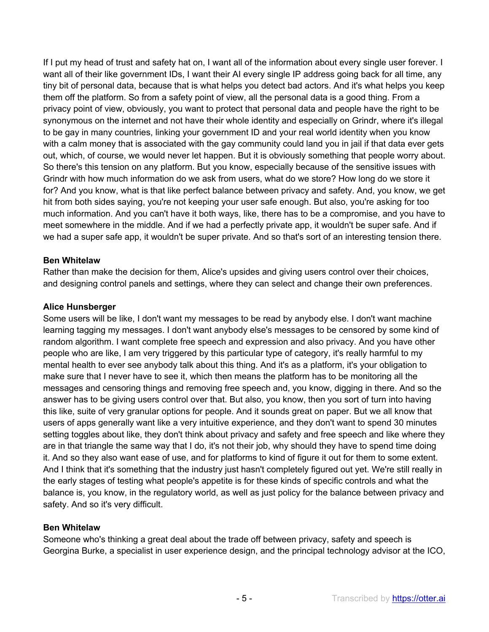If I put my head of trust and safety hat on, I want all of the information about every single user forever. I want all of their like government IDs, I want their AI every single IP address going back for all time, any tiny bit of personal data, because that is what helps you detect bad actors. And it's what helps you keep them off the platform. So from a safety point of view, all the personal data is a good thing. From a privacy point of view, obviously, you want to protect that personal data and people have the right to be synonymous on the internet and not have their whole identity and especially on Grindr, where it's illegal to be gay in many countries, linking your government ID and your real world identity when you know with a calm money that is associated with the gay community could land you in jail if that data ever gets out, which, of course, we would never let happen. But it is obviously something that people worry about. So there's this tension on any platform. But you know, especially because of the sensitive issues with Grindr with how much information do we ask from users, what do we store? How long do we store it for? And you know, what is that like perfect balance between privacy and safety. And, you know, we get hit from both sides saying, you're not keeping your user safe enough. But also, you're asking for too much information. And you can't have it both ways, like, there has to be a compromise, and you have to meet somewhere in the middle. And if we had a perfectly private app, it wouldn't be super safe. And if we had a super safe app, it wouldn't be super private. And so that's sort of an interesting tension there.

## **Ben Whitelaw**

Rather than make the decision for them, Alice's upsides and giving users control over their choices, and designing control panels and settings, where they can select and change their own preferences.

# **Alice Hunsberger**

Some users will be like, I don't want my messages to be read by anybody else. I don't want machine learning tagging my messages. I don't want anybody else's messages to be censored by some kind of random algorithm. I want complete free speech and expression and also privacy. And you have other people who are like, I am very triggered by this particular type of category, it's really harmful to my mental health to ever see anybody talk about this thing. And it's as a platform, it's your obligation to make sure that I never have to see it, which then means the platform has to be monitoring all the messages and censoring things and removing free speech and, you know, digging in there. And so the answer has to be giving users control over that. But also, you know, then you sort of turn into having this like, suite of very granular options for people. And it sounds great on paper. But we all know that users of apps generally want like a very intuitive experience, and they don't want to spend 30 minutes setting toggles about like, they don't think about privacy and safety and free speech and like where they are in that triangle the same way that I do, it's not their job, why should they have to spend time doing it. And so they also want ease of use, and for platforms to kind of figure it out for them to some extent. And I think that it's something that the industry just hasn't completely figured out yet. We're still really in the early stages of testing what people's appetite is for these kinds of specific controls and what the balance is, you know, in the regulatory world, as well as just policy for the balance between privacy and safety. And so it's very difficult.

## **Ben Whitelaw**

Someone who's thinking a great deal about the trade off between privacy, safety and speech is Georgina Burke, a specialist in user experience design, and the principal technology advisor at the ICO,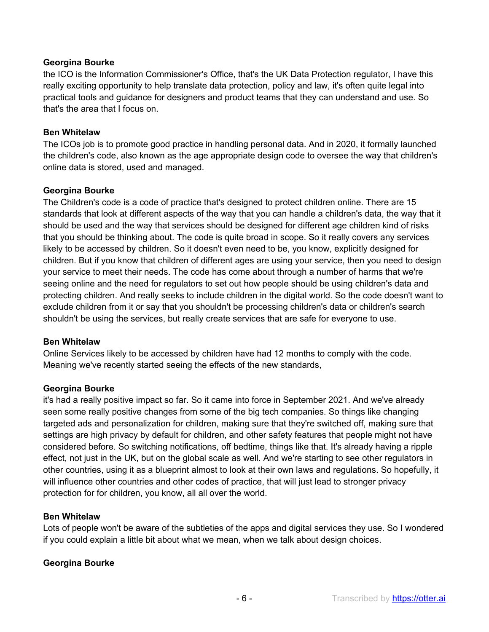## **Georgina Bourke**

the ICO is the Information Commissioner's Office, that's the UK Data Protection regulator, I have this really exciting opportunity to help translate data protection, policy and law, it's often quite legal into practical tools and guidance for designers and product teams that they can understand and use. So that's the area that I focus on.

## **Ben Whitelaw**

The ICOs job is to promote good practice in handling personal data. And in 2020, it formally launched the children's code, also known as the age appropriate design code to oversee the way that children's online data is stored, used and managed.

# **Georgina Bourke**

The Children's code is a code of practice that's designed to protect children online. There are 15 standards that look at different aspects of the way that you can handle a children's data, the way that it should be used and the way that services should be designed for different age children kind of risks that you should be thinking about. The code is quite broad in scope. So it really covers any services likely to be accessed by children. So it doesn't even need to be, you know, explicitly designed for children. But if you know that children of different ages are using your service, then you need to design your service to meet their needs. The code has come about through a number of harms that we're seeing online and the need for regulators to set out how people should be using children's data and protecting children. And really seeks to include children in the digital world. So the code doesn't want to exclude children from it or say that you shouldn't be processing children's data or children's search shouldn't be using the services, but really create services that are safe for everyone to use.

## **Ben Whitelaw**

Online Services likely to be accessed by children have had 12 months to comply with the code. Meaning we've recently started seeing the effects of the new standards,

# **Georgina Bourke**

it's had a really positive impact so far. So it came into force in September 2021. And we've already seen some really positive changes from some of the big tech companies. So things like changing targeted ads and personalization for children, making sure that they're switched off, making sure that settings are high privacy by default for children, and other safety features that people might not have considered before. So switching notifications, off bedtime, things like that. It's already having a ripple effect, not just in the UK, but on the global scale as well. And we're starting to see other regulators in other countries, using it as a blueprint almost to look at their own laws and regulations. So hopefully, it will influence other countries and other codes of practice, that will just lead to stronger privacy protection for for children, you know, all all over the world.

## **Ben Whitelaw**

Lots of people won't be aware of the subtleties of the apps and digital services they use. So I wondered if you could explain a little bit about what we mean, when we talk about design choices.

## **Georgina Bourke**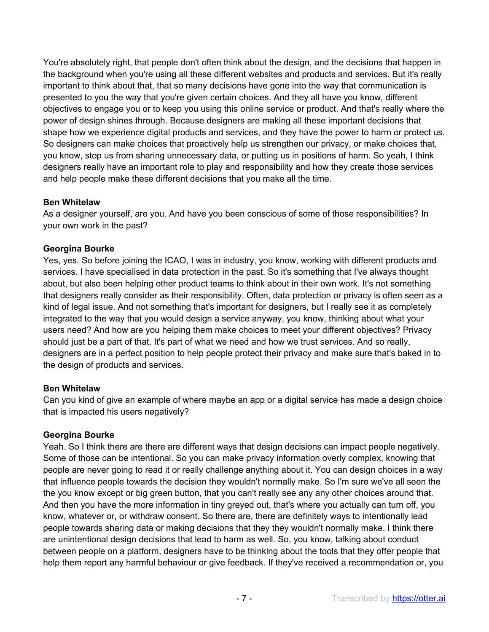You're absolutely right, that people don't often think about the design, and the decisions that happen in the background when you're using all these different websites and products and services. But it's really important to think about that, that so many decisions have gone into the way that communication is presented to you the way that you're given certain choices. And they all have you know, different objectives to engage you or to keep you using this online service or product. And that's really where the power of design shines through. Because designers are making all these important decisions that shape how we experience digital products and services, and they have the power to harm or protect us. So designers can make choices that proactively help us strengthen our privacy, or make choices that, you know, stop us from sharing unnecessary data, or putting us in positions of harm. So yeah, I think designers really have an important role to play and responsibility and how they create those services and help people make these different decisions that you make all the time.

# **Ben Whitelaw**

As a designer yourself, are you. And have you been conscious of some of those responsibilities? In your own work in the past?

# **Georgina Bourke**

Yes, yes. So before joining the ICAO, I was in industry, you know, working with different products and services. I have specialised in data protection in the past. So it's something that I've always thought about, but also been helping other product teams to think about in their own work. It's not something that designers really consider as their responsibility. Often, data protection or privacy is often seen as a kind of legal issue. And not something that's important for designers, but I really see it as completely integrated to the way that you would design a service anyway, you know, thinking about what your users need? And how are you helping them make choices to meet your different objectives? Privacy should just be a part of that. It's part of what we need and how we trust services. And so really, designers are in a perfect position to help people protect their privacy and make sure that's baked in to the design of products and services.

# **Ben Whitelaw**

Can you kind of give an example of where maybe an app or a digital service has made a design choice that is impacted his users negatively?

# **Georgina Bourke**

Yeah. So I think there are there are different ways that design decisions can impact people negatively. Some of those can be intentional. So you can make privacy information overly complex, knowing that people are never going to read it or really challenge anything about it. You can design choices in a way that influence people towards the decision they wouldn't normally make. So I'm sure we've all seen the the you know except or big green button, that you can't really see any any other choices around that. And then you have the more information in tiny greyed out, that's where you actually can turn off, you know, whatever or, or withdraw consent. So there are, there are definitely ways to intentionally lead people towards sharing data or making decisions that they they wouldn't normally make. I think there are unintentional design decisions that lead to harm as well. So, you know, talking about conduct between people on a platform, designers have to be thinking about the tools that they offer people that help them report any harmful behaviour or give feedback. If they've received a recommendation or, you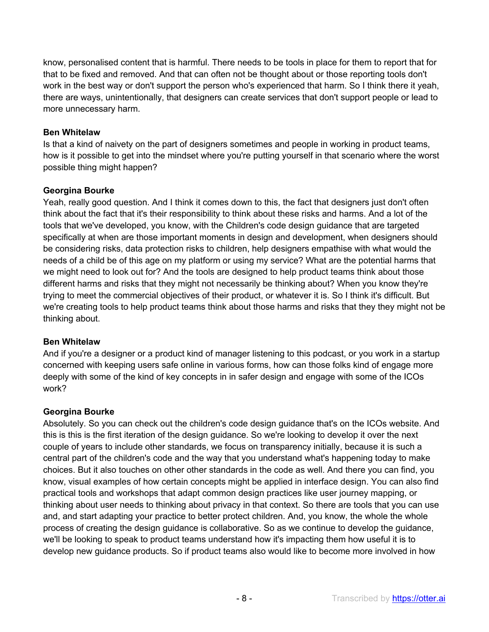know, personalised content that is harmful. There needs to be tools in place for them to report that for that to be fixed and removed. And that can often not be thought about or those reporting tools don't work in the best way or don't support the person who's experienced that harm. So I think there it yeah, there are ways, unintentionally, that designers can create services that don't support people or lead to more unnecessary harm.

# **Ben Whitelaw**

Is that a kind of naivety on the part of designers sometimes and people in working in product teams, how is it possible to get into the mindset where you're putting yourself in that scenario where the worst possible thing might happen?

# **Georgina Bourke**

Yeah, really good question. And I think it comes down to this, the fact that designers just don't often think about the fact that it's their responsibility to think about these risks and harms. And a lot of the tools that we've developed, you know, with the Children's code design guidance that are targeted specifically at when are those important moments in design and development, when designers should be considering risks, data protection risks to children, help designers empathise with what would the needs of a child be of this age on my platform or using my service? What are the potential harms that we might need to look out for? And the tools are designed to help product teams think about those different harms and risks that they might not necessarily be thinking about? When you know they're trying to meet the commercial objectives of their product, or whatever it is. So I think it's difficult. But we're creating tools to help product teams think about those harms and risks that they they might not be thinking about.

# **Ben Whitelaw**

And if you're a designer or a product kind of manager listening to this podcast, or you work in a startup concerned with keeping users safe online in various forms, how can those folks kind of engage more deeply with some of the kind of key concepts in in safer design and engage with some of the ICOs work?

## **Georgina Bourke**

Absolutely. So you can check out the children's code design guidance that's on the ICOs website. And this is this is the first iteration of the design guidance. So we're looking to develop it over the next couple of years to include other standards, we focus on transparency initially, because it is such a central part of the children's code and the way that you understand what's happening today to make choices. But it also touches on other other standards in the code as well. And there you can find, you know, visual examples of how certain concepts might be applied in interface design. You can also find practical tools and workshops that adapt common design practices like user journey mapping, or thinking about user needs to thinking about privacy in that context. So there are tools that you can use and, and start adapting your practice to better protect children. And, you know, the whole the whole process of creating the design guidance is collaborative. So as we continue to develop the guidance, we'll be looking to speak to product teams understand how it's impacting them how useful it is to develop new guidance products. So if product teams also would like to become more involved in how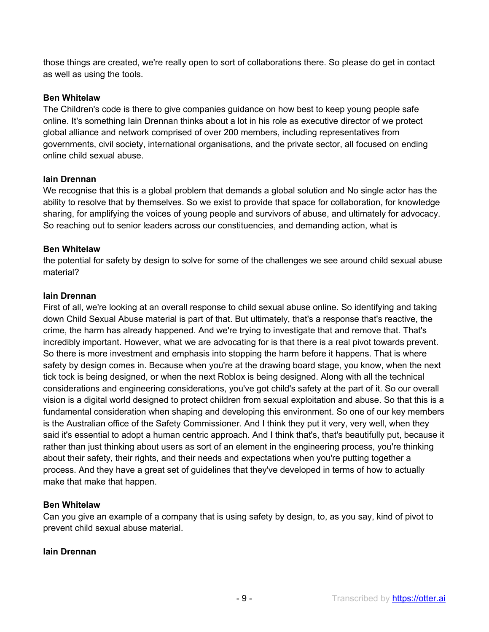those things are created, we're really open to sort of collaborations there. So please do get in contact as well as using the tools.

#### **Ben Whitelaw**

The Children's code is there to give companies guidance on how best to keep young people safe online. It's something Iain Drennan thinks about a lot in his role as executive director of we protect global alliance and network comprised of over 200 members, including representatives from governments, civil society, international organisations, and the private sector, all focused on ending online child sexual abuse.

#### **Iain Drennan**

We recognise that this is a global problem that demands a global solution and No single actor has the ability to resolve that by themselves. So we exist to provide that space for collaboration, for knowledge sharing, for amplifying the voices of young people and survivors of abuse, and ultimately for advocacy. So reaching out to senior leaders across our constituencies, and demanding action, what is

#### **Ben Whitelaw**

the potential for safety by design to solve for some of the challenges we see around child sexual abuse material?

#### **Iain Drennan**

First of all, we're looking at an overall response to child sexual abuse online. So identifying and taking down Child Sexual Abuse material is part of that. But ultimately, that's a response that's reactive, the crime, the harm has already happened. And we're trying to investigate that and remove that. That's incredibly important. However, what we are advocating for is that there is a real pivot towards prevent. So there is more investment and emphasis into stopping the harm before it happens. That is where safety by design comes in. Because when you're at the drawing board stage, you know, when the next tick tock is being designed, or when the next Roblox is being designed. Along with all the technical considerations and engineering considerations, you've got child's safety at the part of it. So our overall vision is a digital world designed to protect children from sexual exploitation and abuse. So that this is a fundamental consideration when shaping and developing this environment. So one of our key members is the Australian office of the Safety Commissioner. And I think they put it very, very well, when they said it's essential to adopt a human centric approach. And I think that's, that's beautifully put, because it rather than just thinking about users as sort of an element in the engineering process, you're thinking about their safety, their rights, and their needs and expectations when you're putting together a process. And they have a great set of guidelines that they've developed in terms of how to actually make that make that happen.

#### **Ben Whitelaw**

Can you give an example of a company that is using safety by design, to, as you say, kind of pivot to prevent child sexual abuse material.

#### **Iain Drennan**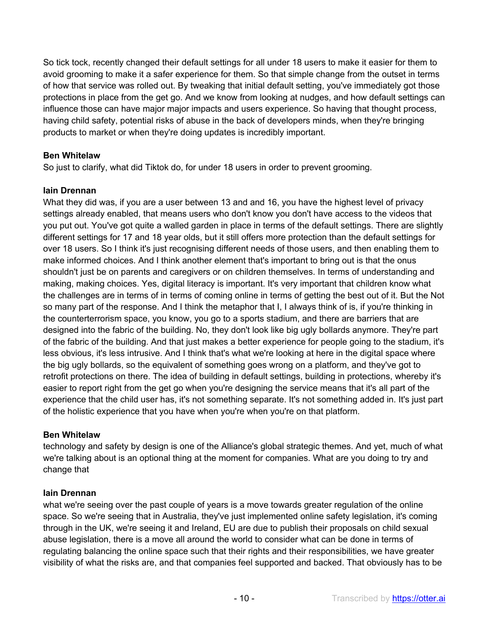So tick tock, recently changed their default settings for all under 18 users to make it easier for them to avoid grooming to make it a safer experience for them. So that simple change from the outset in terms of how that service was rolled out. By tweaking that initial default setting, you've immediately got those protections in place from the get go. And we know from looking at nudges, and how default settings can influence those can have major major impacts and users experience. So having that thought process, having child safety, potential risks of abuse in the back of developers minds, when they're bringing products to market or when they're doing updates is incredibly important.

# **Ben Whitelaw**

So just to clarify, what did Tiktok do, for under 18 users in order to prevent grooming.

# **Iain Drennan**

What they did was, if you are a user between 13 and and 16, you have the highest level of privacy settings already enabled, that means users who don't know you don't have access to the videos that you put out. You've got quite a walled garden in place in terms of the default settings. There are slightly different settings for 17 and 18 year olds, but it still offers more protection than the default settings for over 18 users. So I think it's just recognising different needs of those users, and then enabling them to make informed choices. And I think another element that's important to bring out is that the onus shouldn't just be on parents and caregivers or on children themselves. In terms of understanding and making, making choices. Yes, digital literacy is important. It's very important that children know what the challenges are in terms of in terms of coming online in terms of getting the best out of it. But the Not so many part of the response. And I think the metaphor that I, I always think of is, if you're thinking in the counterterrorism space, you know, you go to a sports stadium, and there are barriers that are designed into the fabric of the building. No, they don't look like big ugly bollards anymore. They're part of the fabric of the building. And that just makes a better experience for people going to the stadium, it's less obvious, it's less intrusive. And I think that's what we're looking at here in the digital space where the big ugly bollards, so the equivalent of something goes wrong on a platform, and they've got to retrofit protections on there. The idea of building in default settings, building in protections, whereby it's easier to report right from the get go when you're designing the service means that it's all part of the experience that the child user has, it's not something separate. It's not something added in. It's just part of the holistic experience that you have when you're when you're on that platform.

## **Ben Whitelaw**

technology and safety by design is one of the Alliance's global strategic themes. And yet, much of what we're talking about is an optional thing at the moment for companies. What are you doing to try and change that

# **Iain Drennan**

what we're seeing over the past couple of years is a move towards greater regulation of the online space. So we're seeing that in Australia, they've just implemented online safety legislation, it's coming through in the UK, we're seeing it and Ireland, EU are due to publish their proposals on child sexual abuse legislation, there is a move all around the world to consider what can be done in terms of regulating balancing the online space such that their rights and their responsibilities, we have greater visibility of what the risks are, and that companies feel supported and backed. That obviously has to be